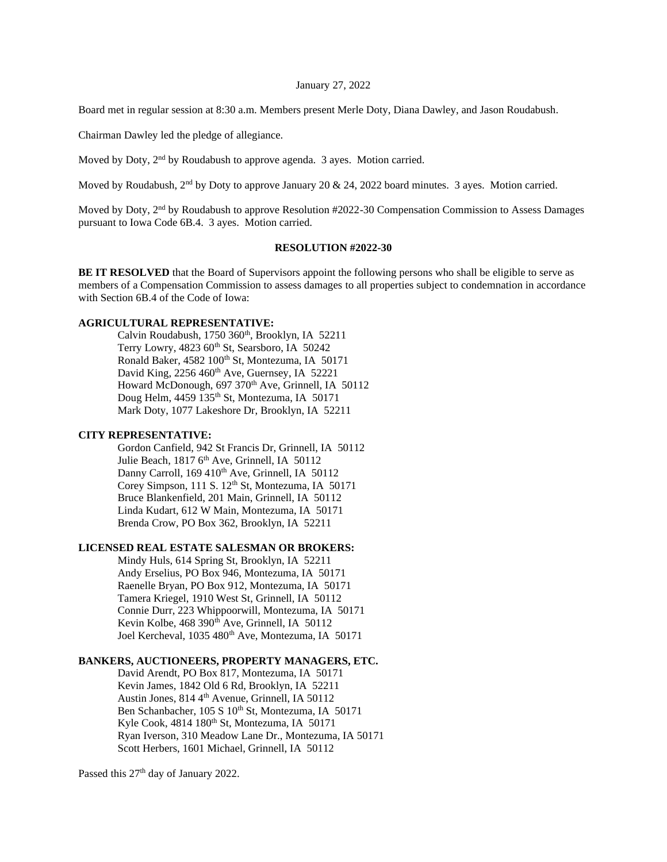#### January 27, 2022

Board met in regular session at 8:30 a.m. Members present Merle Doty, Diana Dawley, and Jason Roudabush.

Chairman Dawley led the pledge of allegiance.

Moved by Doty, 2<sup>nd</sup> by Roudabush to approve agenda. 3 ayes. Motion carried.

Moved by Roudabush, 2<sup>nd</sup> by Doty to approve January 20 & 24, 2022 board minutes. 3 ayes. Motion carried.

Moved by Doty, 2<sup>nd</sup> by Roudabush to approve Resolution #2022-30 Compensation Commission to Assess Damages pursuant to Iowa Code 6B.4. 3 ayes. Motion carried.

### **RESOLUTION #2022-30**

**BE IT RESOLVED** that the Board of Supervisors appoint the following persons who shall be eligible to serve as members of a Compensation Commission to assess damages to all properties subject to condemnation in accordance with Section 6B.4 of the Code of Iowa:

# **AGRICULTURAL REPRESENTATIVE:**

Calvin Roudabush, 1750 360<sup>th</sup>, Brooklyn, IA 52211 Terry Lowry,  $4823$  60<sup>th</sup> St, Searsboro, IA 50242 Ronald Baker, 4582 100<sup>th</sup> St, Montezuma, IA 50171 David King,  $2256\,460$ <sup>th</sup> Ave, Guernsey, IA 52221 Howard McDonough, 697 370<sup>th</sup> Ave, Grinnell, IA 50112 Doug Helm, 4459 135<sup>th</sup> St, Montezuma, IA 50171 Mark Doty, 1077 Lakeshore Dr, Brooklyn, IA 52211

# **CITY REPRESENTATIVE:**

Gordon Canfield, 942 St Francis Dr, Grinnell, IA 50112 Julie Beach, 1817 6<sup>th</sup> Ave, Grinnell, IA 50112 Danny Carroll, 169 410<sup>th</sup> Ave, Grinnell, IA 50112 Corey Simpson, 111 S. 12<sup>th</sup> St, Montezuma, IA 50171 Bruce Blankenfield, 201 Main, Grinnell, IA 50112 Linda Kudart, 612 W Main, Montezuma, IA 50171 Brenda Crow, PO Box 362, Brooklyn, IA 52211

### **LICENSED REAL ESTATE SALESMAN OR BROKERS:**

Mindy Huls, 614 Spring St, Brooklyn, IA 52211 Andy Erselius, PO Box 946, Montezuma, IA 50171 Raenelle Bryan, PO Box 912, Montezuma, IA 50171 Tamera Kriegel, 1910 West St, Grinnell, IA 50112 Connie Durr, 223 Whippoorwill, Montezuma, IA 50171 Kevin Kolbe,  $468$  390<sup>th</sup> Ave, Grinnell, IA 50112 Joel Kercheval, 1035 480<sup>th</sup> Ave, Montezuma, IA 50171

## **BANKERS, AUCTIONEERS, PROPERTY MANAGERS, ETC.**

David Arendt, PO Box 817, Montezuma, IA 50171 Kevin James, 1842 Old 6 Rd, Brooklyn, IA 52211 Austin Jones, 814 4<sup>th</sup> Avenue, Grinnell, IA 50112 Ben Schanbacher, 105 S 10<sup>th</sup> St, Montezuma, IA 50171 Kyle Cook, 4814 180<sup>th</sup> St, Montezuma, IA 50171 Ryan Iverson, 310 Meadow Lane Dr., Montezuma, IA 50171 Scott Herbers, 1601 Michael, Grinnell, IA 50112

Passed this 27<sup>th</sup> day of January 2022.